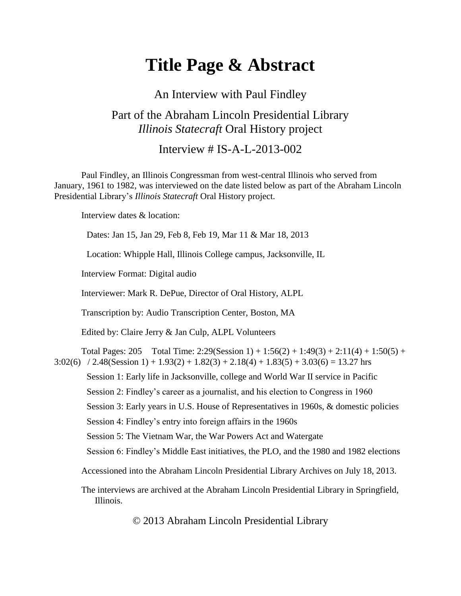## **Title Page & Abstract**

An Interview with Paul Findley

## Part of the Abraham Lincoln Presidential Library *Illinois Statecraft* Oral History project

Interview # IS-A-L-2013-002

Paul Findley, an Illinois Congressman from west-central Illinois who served from January, 1961 to 1982, was interviewed on the date listed below as part of the Abraham Lincoln Presidential Library's *Illinois Statecraft* Oral History project.

Interview dates & location:

Dates: Jan 15, Jan 29, Feb 8, Feb 19, Mar 11 & Mar 18, 2013

Location: Whipple Hall, Illinois College campus, Jacksonville, IL

Interview Format: Digital audio

Interviewer: Mark R. DePue, Director of Oral History, ALPL

Transcription by: Audio Transcription Center, Boston, MA

Edited by: Claire Jerry & Jan Culp, ALPL Volunteers

Total Pages: 205 Total Time: 2:29(Session 1) + 1:56(2) + 1:49(3) + 2:11(4) + 1:50(5) + 3:02(6) / 2.48(Session 1) + 1.93(2) + 1.82(3) + 2.18(4) + 1.83(5) + 3.03(6) = 13.27 hrs

Session 1: Early life in Jacksonville, college and World War II service in Pacific

Session 2: Findley's career as a journalist, and his election to Congress in 1960

Session 3: Early years in U.S. House of Representatives in 1960s, & domestic policies

Session 4: Findley's entry into foreign affairs in the 1960s

Session 5: The Vietnam War, the War Powers Act and Watergate

Session 6: Findley's Middle East initiatives, the PLO, and the 1980 and 1982 elections

Accessioned into the Abraham Lincoln Presidential Library Archives on July 18, 2013.

The interviews are archived at the Abraham Lincoln Presidential Library in Springfield, Illinois.

© 2013 Abraham Lincoln Presidential Library